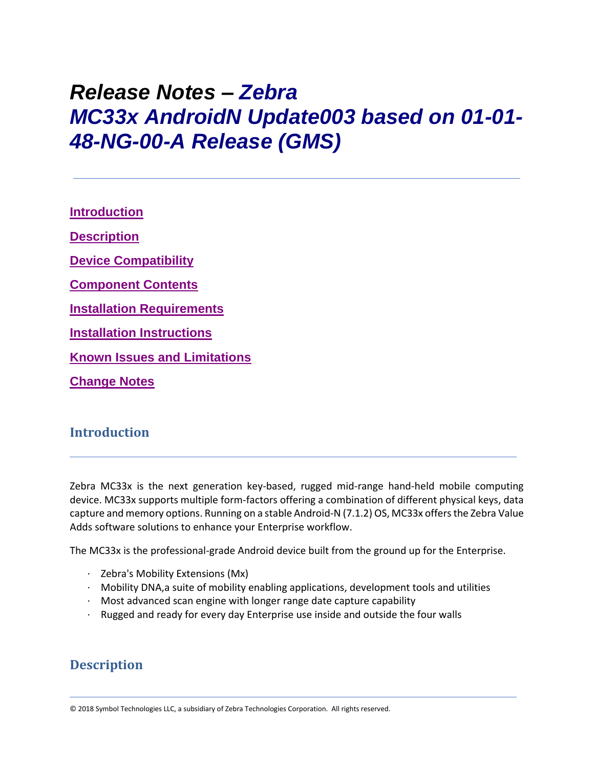# *Release Notes – Zebra MC33x AndroidN Update003 based on 01-01- 48-NG-00-A Release (GMS)*

**[Introduction](file:///C:/Users/GRM1/Desktop/Falcon_Ironman_N_RN/MC33%20GMS%20Release%20Notes%20v01-01-48-NG-00-A_Update003.htm%23_Introduction) [Description](file:///C:/Users/GRM1/Desktop/Falcon_Ironman_N_RN/MC33%20GMS%20Release%20Notes%20v01-01-48-NG-00-A_Update003.htm%23Description) [Device Compatibility](file:///C:/Users/GRM1/Desktop/Falcon_Ironman_N_RN/MC33%20GMS%20Release%20Notes%20v01-01-48-NG-00-A_Update003.htm%23DeviceCompatibility) [Component Contents](file:///C:/Users/GRM1/Desktop/Falcon_Ironman_N_RN/MC33%20GMS%20Release%20Notes%20v01-01-48-NG-00-A_Update003.htm%23ComponentContents) [Installation Requirements](file:///C:/Users/GRM1/Desktop/Falcon_Ironman_N_RN/MC33%20GMS%20Release%20Notes%20v01-01-48-NG-00-A_Update003.htm%23InstallationRequirements) [Installation Instructions](file:///C:/Users/GRM1/Desktop/Falcon_Ironman_N_RN/MC33%20GMS%20Release%20Notes%20v01-01-48-NG-00-A_Update003.htm%23InstallationInstructions) Known [Issues and Limitations](file:///C:/Users/GRM1/Desktop/Falcon_Ironman_N_RN/MC33%20GMS%20Release%20Notes%20v01-01-48-NG-00-A_Update003.htm%23_Known_Issues_and) [Change Notes](file:///C:/Users/GRM1/Desktop/Falcon_Ironman_N_RN/MC33%20GMS%20Release%20Notes%20v01-01-48-NG-00-A_Update003.htm%23_Change_Notes)**

### **Introduction**

Zebra MC33x is the next generation key-based, rugged mid-range hand-held mobile computing device. MC33x supports multiple form-factors offering a combination of different physical keys, data capture and memory options. Running on a stable Android-N (7.1.2) OS, MC33x offers the Zebra Value Adds software solutions to enhance your Enterprise workflow.

The MC33x is the professional-grade Android device built from the ground up for the Enterprise.

- · Zebra's Mobility Extensions (Mx)
- $\cdot$  Mobility DNA, a suite of mobility enabling applications, development tools and utilities
- · Most advanced scan engine with longer range date capture capability
- · Rugged and ready for every day Enterprise use inside and outside the four walls

## **Description**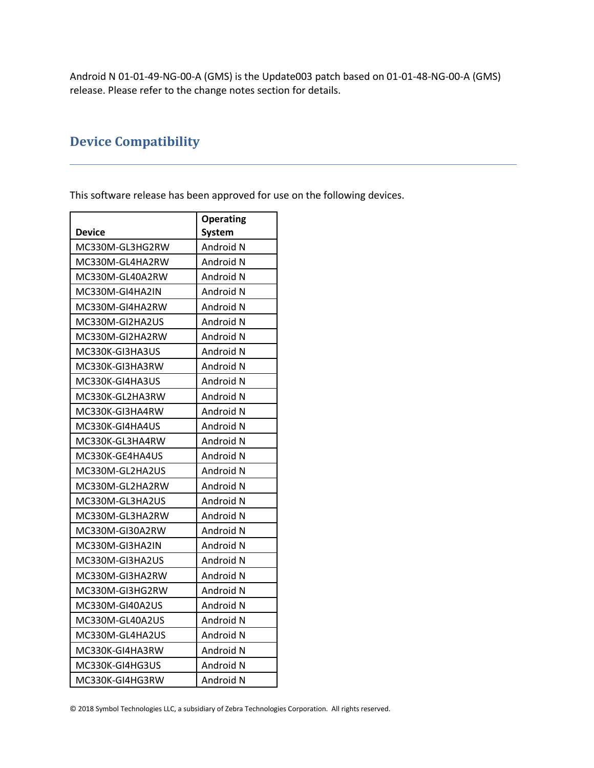Android N 01-01-49-NG-00-A (GMS) is the Update003 patch based on 01-01-48-NG-00-A (GMS) release. Please refer to the change notes section for details.

# **Device Compatibility**

This software release has been approved for use on the following devices.

|                 | <b>Operating</b> |
|-----------------|------------------|
| <b>Device</b>   | <b>System</b>    |
| MC330M-GL3HG2RW | Android N        |
| MC330M-GL4HA2RW | Android N        |
| MC330M-GL40A2RW | Android N        |
| MC330M-GI4HA2IN | Android N        |
| MC330M-GI4HA2RW | Android N        |
| MC330M-GI2HA2US | Android N        |
| MC330M-GI2HA2RW | Android N        |
| MC330K-GI3HA3US | Android N        |
| MC330K-GI3HA3RW | Android N        |
| MC330K-GI4HA3US | Android N        |
| MC330K-GL2HA3RW | Android N        |
| MC330K-GI3HA4RW | Android N        |
| MC330K-GI4HA4US | Android N        |
| MC330K-GL3HA4RW | Android N        |
| MC330K-GE4HA4US | Android N        |
| MC330M-GL2HA2US | Android N        |
| MC330M-GL2HA2RW | Android N        |
| MC330M-GL3HA2US | Android N        |
| MC330M-GL3HA2RW | Android N        |
| MC330M-GI30A2RW | Android N        |
| MC330M-GI3HA2IN | Android N        |
| MC330M-GI3HA2US | Android N        |
| MC330M-GI3HA2RW | Android N        |
| MC330M-GI3HG2RW | Android N        |
| MC330M-GI40A2US | Android N        |
| MC330M-GL40A2US | Android N        |
| MC330M-GL4HA2US | Android N        |
| MC330K-GI4HA3RW | Android N        |
| MC330K-GI4HG3US | Android N        |
| MC330K-GI4HG3RW | Android N        |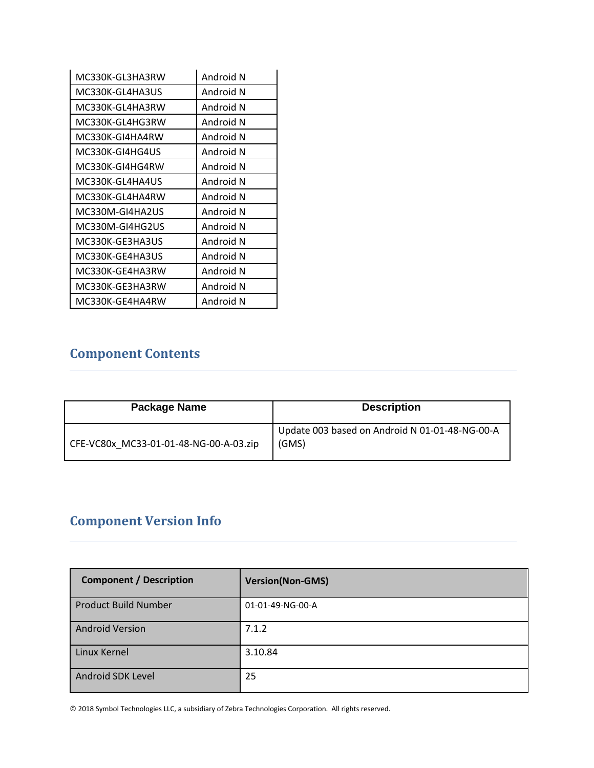| MC330K-GL3HA3RW | Android N |
|-----------------|-----------|
| MC330K-GL4HA3US | Android N |
| MC330K-GL4HA3RW | Android N |
| MC330K-GL4HG3RW | Android N |
| MC330K-GI4HA4RW | Android N |
| MC330K-GI4HG4US | Android N |
| MC330K-GI4HG4RW | Android N |
| MC330K-GL4HA4US | Android N |
| MC330K-GL4HA4RW | Android N |
| MC330M-GI4HA2US | Android N |
| MC330M-GI4HG2US | Android N |
| MC330K-GE3HA3US | Android N |
| MC330K-GE4HA3US | Android N |
| MC330K-GE4HA3RW | Android N |
| MC330K-GE3HA3RW | Android N |
| MC330K-GE4HA4RW | Android N |

# **Component Contents**

| Package Name                           | <b>Description</b>                                      |
|----------------------------------------|---------------------------------------------------------|
| CFE-VC80x MC33-01-01-48-NG-00-A-03.zip | Update 003 based on Android N 01-01-48-NG-00-A<br>(GMS) |

# **Component Version Info**

| <b>Component / Description</b> | <b>Version(Non-GMS)</b> |
|--------------------------------|-------------------------|
| <b>Product Build Number</b>    | 01-01-49-NG-00-A        |
| <b>Android Version</b>         | 7.1.2                   |
| Linux Kernel                   | 3.10.84                 |
| Android SDK Level              | 25                      |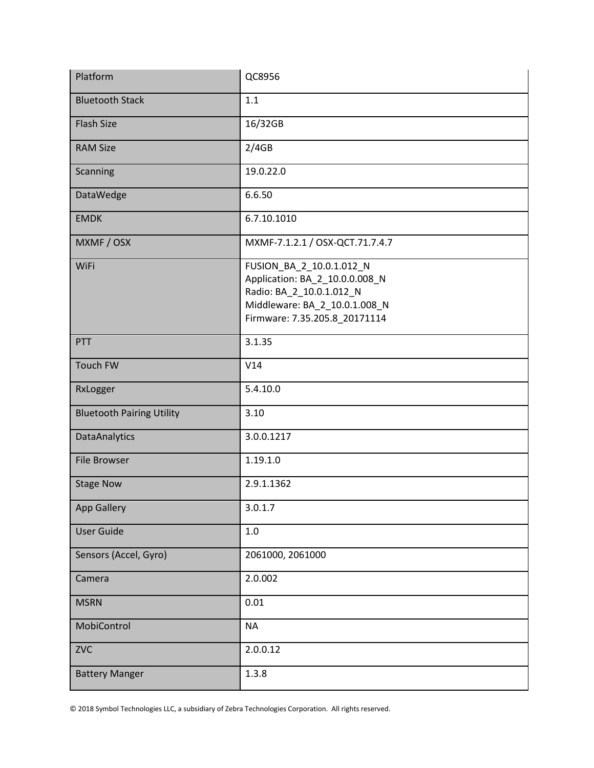| Platform                         | QC8956                                                                                                                                                   |
|----------------------------------|----------------------------------------------------------------------------------------------------------------------------------------------------------|
| <b>Bluetooth Stack</b>           | 1.1                                                                                                                                                      |
| <b>Flash Size</b>                | 16/32GB                                                                                                                                                  |
| <b>RAM Size</b>                  | 2/4GB                                                                                                                                                    |
| Scanning                         | 19.0.22.0                                                                                                                                                |
| DataWedge                        | 6.6.50                                                                                                                                                   |
| <b>EMDK</b>                      | 6.7.10.1010                                                                                                                                              |
| MXMF / OSX                       | MXMF-7.1.2.1 / OSX-QCT.71.7.4.7                                                                                                                          |
| WiFi                             | FUSION_BA_2_10.0.1.012_N<br>Application: BA_2_10.0.0.008_N<br>Radio: BA_2_10.0.1.012_N<br>Middleware: BA_2_10.0.1.008_N<br>Firmware: 7.35.205.8_20171114 |
| PTT                              | 3.1.35                                                                                                                                                   |
| Touch FW                         | V14                                                                                                                                                      |
| RxLogger                         | 5.4.10.0                                                                                                                                                 |
| <b>Bluetooth Pairing Utility</b> | 3.10                                                                                                                                                     |
| <b>DataAnalytics</b>             | 3.0.0.1217                                                                                                                                               |
| <b>File Browser</b>              | 1.19.1.0                                                                                                                                                 |
| <b>Stage Now</b>                 | 2.9.1.1362                                                                                                                                               |
| <b>App Gallery</b>               | 3.0.1.7                                                                                                                                                  |
| <b>User Guide</b>                | 1.0                                                                                                                                                      |
| Sensors (Accel, Gyro)            | 2061000, 2061000                                                                                                                                         |
| Camera                           | 2.0.002                                                                                                                                                  |
| <b>MSRN</b>                      | 0.01                                                                                                                                                     |
| MobiControl                      | <b>NA</b>                                                                                                                                                |
| <b>ZVC</b>                       | 2.0.0.12                                                                                                                                                 |
| <b>Battery Manger</b>            | 1.3.8                                                                                                                                                    |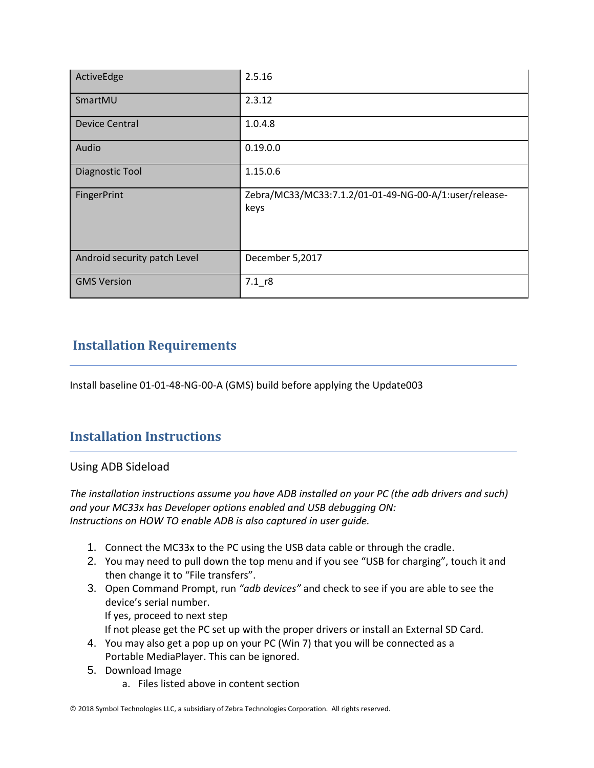| ActiveEdge                   | 2.5.16                                                         |
|------------------------------|----------------------------------------------------------------|
| SmartMU                      | 2.3.12                                                         |
| <b>Device Central</b>        | 1.0.4.8                                                        |
| Audio                        | 0.19.0.0                                                       |
| <b>Diagnostic Tool</b>       | 1.15.0.6                                                       |
| FingerPrint                  | Zebra/MC33/MC33:7.1.2/01-01-49-NG-00-A/1:user/release-<br>keys |
| Android security patch Level | December 5,2017                                                |
| <b>GMS Version</b>           | $7.1$ r8                                                       |

# **Installation Requirements**

Install baseline 01-01-48-NG-00-A (GMS) build before applying the Update003

# **Installation Instructions**

#### Using ADB Sideload

*The installation instructions assume you have ADB installed on your PC (the adb drivers and such) and your MC33x has Developer options enabled and USB debugging ON: Instructions on HOW TO enable ADB is also captured in user guide.*

- 1. Connect the MC33x to the PC using the USB data cable or through the cradle.
- 2. You may need to pull down the top menu and if you see "USB for charging", touch it and then change it to "File transfers".
- 3. Open Command Prompt, run *"adb devices"* and check to see if you are able to see the device's serial number. If yes, proceed to next step If not please get the PC set up with the proper drivers or install an External SD Card.
- 4. You may also get a pop up on your PC (Win 7) that you will be connected as a Portable MediaPlayer. This can be ignored.
- 5. Download Image
	- a. Files listed above in content section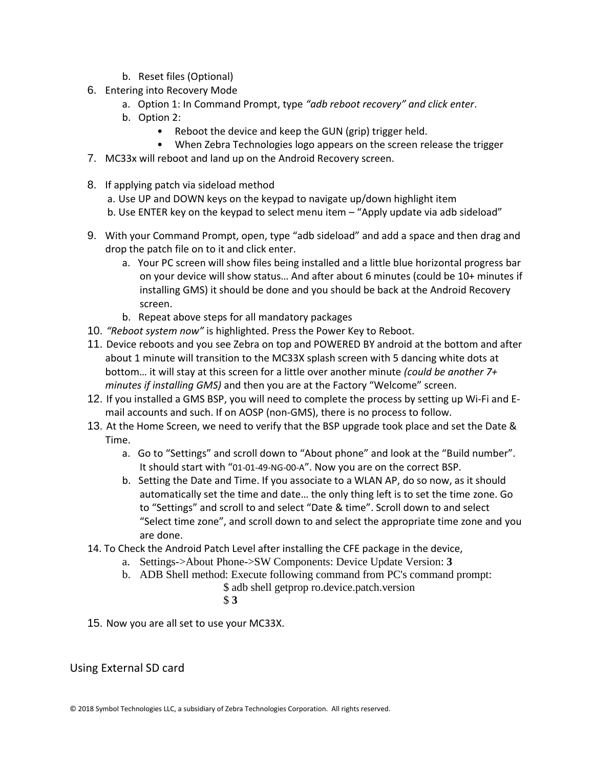- b. Reset files (Optional)
- 6. Entering into Recovery Mode
	- a. Option 1: In Command Prompt, type *"adb reboot recovery" and click enter*.
	- b. Option 2:
		- Reboot the device and keep the GUN (grip) trigger held.
		- When Zebra Technologies logo appears on the screen release the trigger
- 7. MC33x will reboot and land up on the Android Recovery screen.
- 8. If applying patch via sideload method
	- a. Use UP and DOWN keys on the keypad to navigate up/down highlight item
	- b. Use ENTER key on the keypad to select menu item "Apply update via adb sideload"
- 9. With your Command Prompt, open, type "adb sideload" and add a space and then drag and drop the patch file on to it and click enter.
	- a. Your PC screen will show files being installed and a little blue horizontal progress bar on your device will show status… And after about 6 minutes (could be 10+ minutes if installing GMS) it should be done and you should be back at the Android Recovery screen.
	- b. Repeat above steps for all mandatory packages
- 10. *"Reboot system now"* is highlighted. Press the Power Key to Reboot.
- 11. Device reboots and you see Zebra on top and POWERED BY android at the bottom and after about 1 minute will transition to the MC33X splash screen with 5 dancing white dots at bottom… it will stay at this screen for a little over another minute *(could be another 7+ minutes if installing GMS)* and then you are at the Factory "Welcome" screen.
- 12. If you installed a GMS BSP, you will need to complete the process by setting up Wi‐Fi and E‐ mail accounts and such. If on AOSP (non‐GMS), there is no process to follow.
- 13. At the Home Screen, we need to verify that the BSP upgrade took place and set the Date & Time.
	- a. Go to "Settings" and scroll down to "About phone" and look at the "Build number". It should start with "01-01-49-NG-00-A". Now you are on the correct BSP.
	- b. Setting the Date and Time. If you associate to a WLAN AP, do so now, as it should automatically set the time and date… the only thing left is to set the time zone. Go to "Settings" and scroll to and select "Date & time". Scroll down to and select "Select time zone", and scroll down to and select the appropriate time zone and you are done.
- 14. To Check the Android Patch Level after installing the CFE package in the device,
	- a. Settings->About Phone->SW Components: Device Update Version: **3**
	- b. ADB Shell method: Execute following command from PC's command prompt:
		- \$ adb shell getprop ro.device.patch.version
			- \$ **3**
- 15. Now you are all set to use your MC33X.

#### Using External SD card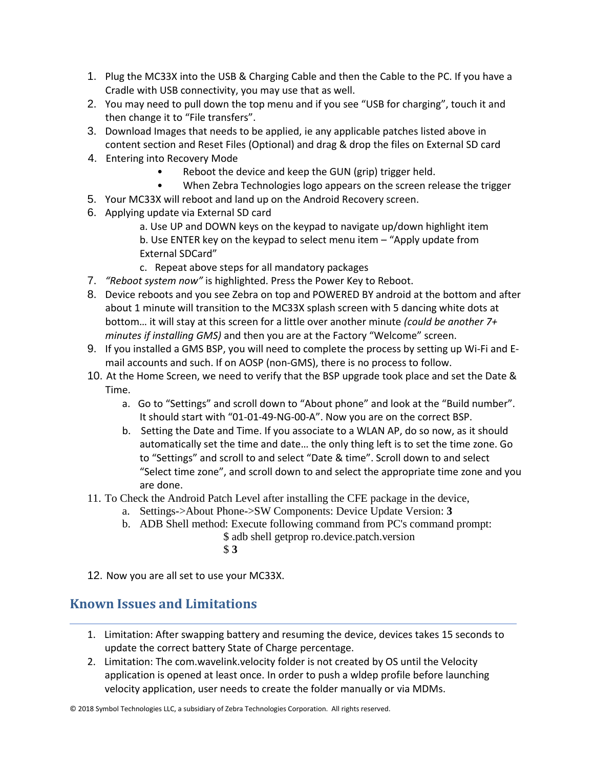- 1. Plug the MC33X into the USB & Charging Cable and then the Cable to the PC. If you have a Cradle with USB connectivity, you may use that as well.
- 2. You may need to pull down the top menu and if you see "USB for charging", touch it and then change it to "File transfers".
- 3. Download Images that needs to be applied, ie any applicable patches listed above in content section and Reset Files (Optional) and drag & drop the files on External SD card
- 4. Entering into Recovery Mode
	- Reboot the device and keep the GUN (grip) trigger held.
	- When Zebra Technologies logo appears on the screen release the trigger
- 5. Your MC33X will reboot and land up on the Android Recovery screen.
- 6. Applying update via External SD card
	- a. Use UP and DOWN keys on the keypad to navigate up/down highlight item b. Use ENTER key on the keypad to select menu item – "Apply update from External SDCard"
	- c. Repeat above steps for all mandatory packages
- 7. *"Reboot system now"* is highlighted. Press the Power Key to Reboot.
- 8. Device reboots and you see Zebra on top and POWERED BY android at the bottom and after about 1 minute will transition to the MC33X splash screen with 5 dancing white dots at bottom… it will stay at this screen for a little over another minute *(could be another 7+ minutes if installing GMS)* and then you are at the Factory "Welcome" screen.
- 9. If you installed a GMS BSP, you will need to complete the process by setting up Wi‐Fi and E‐ mail accounts and such. If on AOSP (non‐GMS), there is no process to follow.
- 10. At the Home Screen, we need to verify that the BSP upgrade took place and set the Date & Time.
	- a. Go to "Settings" and scroll down to "About phone" and look at the "Build number". It should start with "01-01-49-NG-00-A". Now you are on the correct BSP.
	- b. Setting the Date and Time. If you associate to a WLAN AP, do so now, as it should automatically set the time and date… the only thing left is to set the time zone. Go to "Settings" and scroll to and select "Date & time". Scroll down to and select "Select time zone", and scroll down to and select the appropriate time zone and you are done.
- 11. To Check the Android Patch Level after installing the CFE package in the device,
	- a. Settings->About Phone->SW Components: Device Update Version: **3**
	- b. ADB Shell method: Execute following command from PC's command prompt: \$ adb shell getprop ro.device.patch.version
		- \$ **3**
- 12. Now you are all set to use your MC33X.

## **Known Issues and Limitations**

- 1. Limitation: After swapping battery and resuming the device, devices takes 15 seconds to update the correct battery State of Charge percentage.
- 2. Limitation: The com.wavelink.velocity folder is not created by OS until the Velocity application is opened at least once. In order to push a wldep profile before launching velocity application, user needs to create the folder manually or via MDMs.